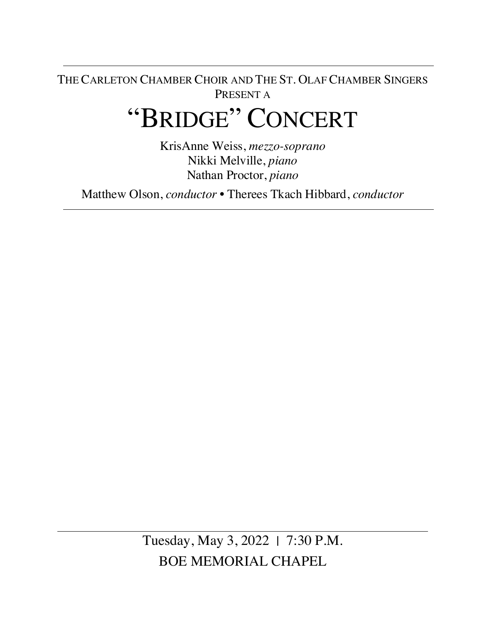THE CARLETON CHAMBER CHOIR AND THE ST. OLAF CHAMBER SINGERS PRESENT A

# "BRIDGE" CONCERT

KrisAnne Weiss, *mezzo-soprano* Nikki Melville, *piano* Nathan Proctor, *piano*

Matthew Olson, *conductor* • Therees Tkach Hibbard, *conductor*

Tuesday, May 3, 2022 | 7:30 P.M. BOE MEMORIAL CHAPEL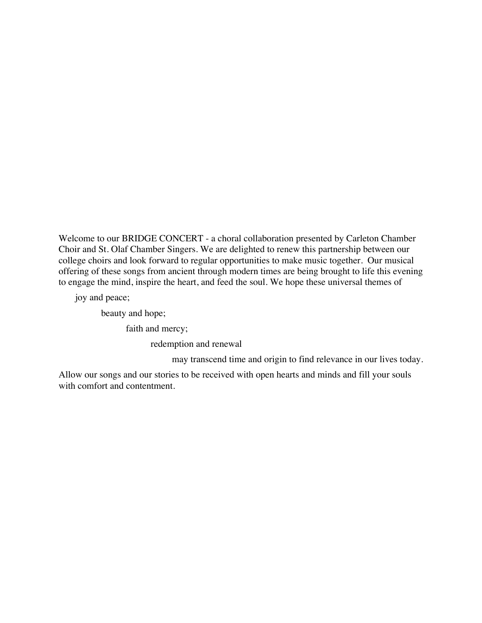Welcome to our BRIDGE CONCERT - a choral collaboration presented by Carleton Chamber Choir and St. Olaf Chamber Singers. We are delighted to renew this partnership between our college choirs and look forward to regular opportunities to make music together. Our musical offering of these songs from ancient through modern times are being brought to life this evening to engage the mind, inspire the heart, and feed the soul. We hope these universal themes of

joy and peace;

beauty and hope;

faith and mercy;

redemption and renewal

may transcend time and origin to find relevance in our lives today.

Allow our songs and our stories to be received with open hearts and minds and fill your souls with comfort and contentment.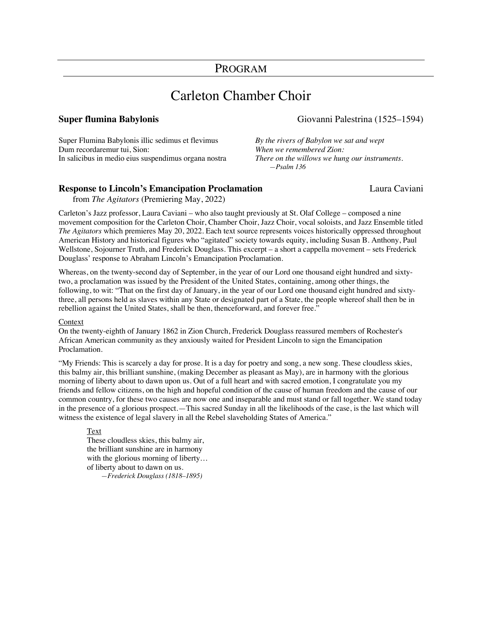# PROGRAM

# Carleton Chamber Choir

Super Flumina Babylonis illic sedimus et flevimus Dum recordaremur tui, Sion: In salicibus in medio eius suspendimus organa nostra

# **Super flumina Babylonis** Giovanni Palestrina (1525–1594)

*By the rivers of Babylon we sat and wept When we remembered Zion: There on the willows we hung our instruments. —Psalm 136*

# **Response to Lincoln's Emancipation Proclamation Laura Caviani** Laura Caviani

from *The Agitators* (Premiering May, 2022)

Carleton's Jazz professor, Laura Caviani – who also taught previously at St. Olaf College – composed a nine movement composition for the Carleton Choir, Chamber Choir, Jazz Choir, vocal soloists, and Jazz Ensemble titled *The Agitators* which premieres May 20, 2022. Each text source represents voices historically oppressed throughout American History and historical figures who "agitated" society towards equity, including Susan B. Anthony, Paul Wellstone, Sojourner Truth, and Frederick Douglass. This excerpt – a short a cappella movement – sets Frederick Douglass' response to Abraham Lincoln's Emancipation Proclamation.

Whereas, on the twenty-second day of September, in the year of our Lord one thousand eight hundred and sixtytwo, a proclamation was issued by the President of the United States, containing, among other things, the following, to wit: "That on the first day of January, in the year of our Lord one thousand eight hundred and sixtythree, all persons held as slaves within any State or designated part of a State, the people whereof shall then be in rebellion against the United States, shall be then, thenceforward, and forever free."

# Context

On the twenty-eighth of January 1862 in Zion Church, Frederick Douglass reassured members of Rochester's African American community as they anxiously waited for President Lincoln to sign the Emancipation Proclamation.

"My Friends: This is scarcely a day for prose. It is a day for poetry and song, a new song. These cloudless skies, this balmy air, this brilliant sunshine, (making December as pleasant as May), are in harmony with the glorious morning of liberty about to dawn upon us. Out of a full heart and with sacred emotion, I congratulate you my friends and fellow citizens, on the high and hopeful condition of the cause of human freedom and the cause of our common country, for these two causes are now one and inseparable and must stand or fall together. We stand today in the presence of a glorious prospect.—This sacred Sunday in all the likelihoods of the case, is the last which will witness the existence of legal slavery in all the Rebel slaveholding States of America."

Text

These cloudless skies, this balmy air, the brilliant sunshine are in harmony with the glorious morning of liberty... of liberty about to dawn on us. *—Frederick Douglass (1818–1895)*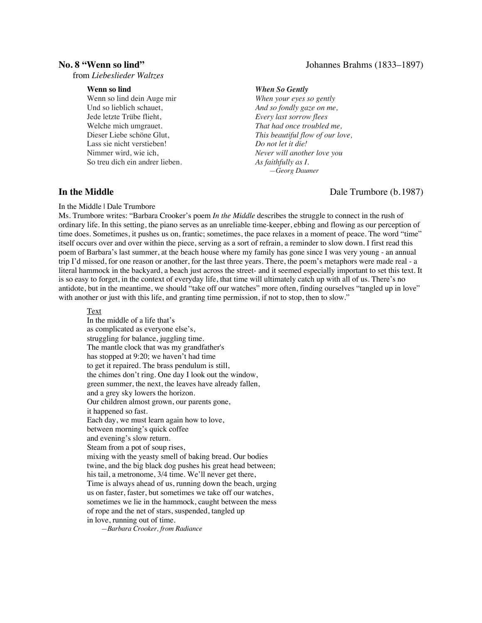from *Liebeslieder Waltzes*

### **Wenn so lind**

Wenn so lind dein Auge mir Und so lieblich schauet, Jede letzte Trübe flieht, Welche mich umgrauet. Dieser Liebe schöne Glut, Lass sie nicht verstieben! Nimmer wird, wie ich, So treu dich ein andrer lieben.

# **No. 8 "Wenn so lind"** Johannes Brahms (1833–1897)

# *When So Gently*

*When your eyes so gently And so fondly gaze on me, Every last sorrow flees That had once troubled me, This beautiful flow of our love, Do not let it die! Never will another love you As faithfully as I. —Georg Daumer*

**In the Middle** Dale Trumbore (b. 1987)

In the Middle | Dale Trumbore

Ms. Trumbore writes: "Barbara Crooker's poem *In the Middle* describes the struggle to connect in the rush of ordinary life. In this setting, the piano serves as an unreliable time-keeper, ebbing and flowing as our perception of time does. Sometimes, it pushes us on, frantic; sometimes, the pace relaxes in a moment of peace. The word "time" itself occurs over and over within the piece, serving as a sort of refrain, a reminder to slow down. I first read this poem of Barbara's last summer, at the beach house where my family has gone since I was very young - an annual trip I'd missed, for one reason or another, for the last three years. There, the poem's metaphors were made real - a literal hammock in the backyard, a beach just across the street- and it seemed especially important to set this text. It is so easy to forget, in the context of everyday life, that time will ultimately catch up with all of us. There's no antidote, but in the meantime, we should "take off our watches" more often, finding ourselves "tangled up in love" with another or just with this life, and granting time permission, if not to stop, then to slow."

### Text

In the middle of a life that's as complicated as everyone else's, struggling for balance, juggling time. The mantle clock that was my grandfather's has stopped at 9:20; we haven't had time to get it repaired. The brass pendulum is still, the chimes don't ring. One day I look out the window, green summer, the next, the leaves have already fallen, and a grey sky lowers the horizon. Our children almost grown, our parents gone, it happened so fast. Each day, we must learn again how to love, between morning's quick coffee and evening's slow return. Steam from a pot of soup rises, mixing with the yeasty smell of baking bread. Our bodies twine, and the big black dog pushes his great head between; his tail, a metronome, 3/4 time. We'll never get there, Time is always ahead of us, running down the beach, urging us on faster, faster, but sometimes we take off our watches, sometimes we lie in the hammock, caught between the mess of rope and the net of stars, suspended, tangled up in love, running out of time.

*—Barbara Crooker, from Radiance*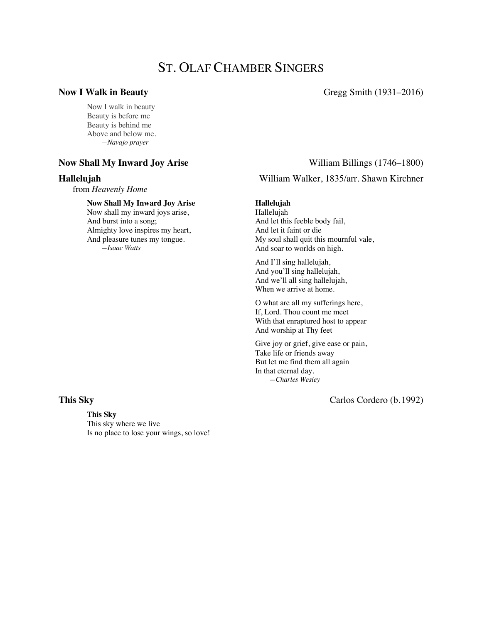# ST. OLAF CHAMBER SINGERS

Now I walk in beauty Beauty is before me Beauty is behind me Above and below me. *—Navajo prayer*

# **Now Shall My Inward Joy Arise** William Billings (1746–1800)

from *Heavenly Home*

# **Now Shall My Inward Joy Arise**

Now shall my inward joys arise, And burst into a song; Almighty love inspires my heart, And pleasure tunes my tongue. *—Isaac Watts*

# **Now I Walk in Beauty** Gregg Smith (1931–2016)

**Hallelujah** William Walker, 1835/arr. Shawn Kirchner

# **Hallelujah**

Hallelujah And let this feeble body fail, And let it faint or die My soul shall quit this mournful vale, And soar to worlds on high.

And I'll sing hallelujah, And you'll sing hallelujah, And we'll all sing hallelujah, When we arrive at home.

O what are all my sufferings here, If, Lord. Thou count me meet With that enraptured host to appear And worship at Thy feet

Give joy or grief, give ease or pain, Take life or friends away But let me find them all again In that eternal day. *—Charles Wesley*

**This Sky** Carlos Cordero (b.1992)

**This Sky**

This sky where we live Is no place to lose your wings, so love!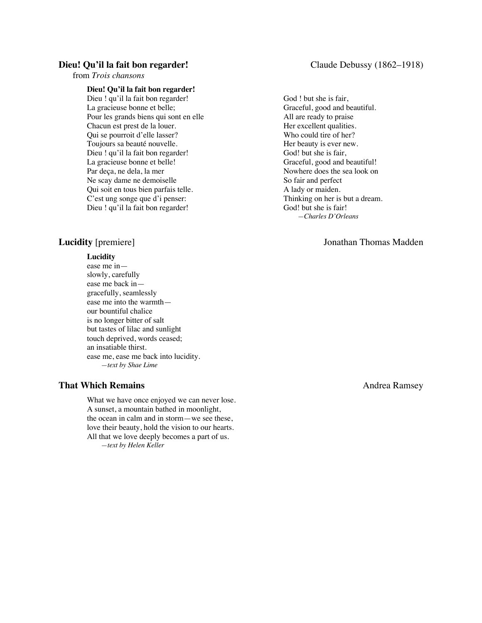# **Dieu! Qu'il la fait bon regarder!** Claude Debussy (1862–1918)

from *Trois chansons*

# **Dieu! Qu'il la fait bon regarder!**

Dieu ! qu'il la fait bon regarder! La gracieuse bonne et belle; Pour les grands biens qui sont en elle Chacun est prest de la louer. Qui se pourroit d'elle lasser? Toujours sa beauté nouvelle. Dieu ! qu'il la fait bon regarder! La gracieuse bonne et belle! Par deça, ne dela, la mer Ne scay dame ne demoiselle Qui soit en tous bien parfais telle. C'est ung songe que d'i penser: Dieu ! qu'il la fait bon regarder!

# **Lucidity**

ease me in slowly, carefully ease me back in gracefully, seamlessly ease me into the warmth our bountiful chalice is no longer bitter of salt but tastes of lilac and sunlight touch deprived, words ceased; an insatiable thirst. ease me, ease me back into lucidity. *—text by Shae Lime*

# **That Which Remains** Andrea Ramsey

What we have once enjoyed we can never lose. A sunset, a mountain bathed in moonlight, the ocean in calm and in storm—we see these, love their beauty, hold the vision to our hearts. All that we love deeply becomes a part of us. *—text by Helen Keller*

God ! but she is fair, Graceful, good and beautiful. All are ready to praise Her excellent qualities. Who could tire of her? Her beauty is ever new. God! but she is fair, Graceful, good and beautiful! Nowhere does the sea look on So fair and perfect A lady or maiden. Thinking on her is but a dream. God! but she is fair! *—Charles D'Orleans*

# **Lucidity** [premiere] **Lucidity** [premiere]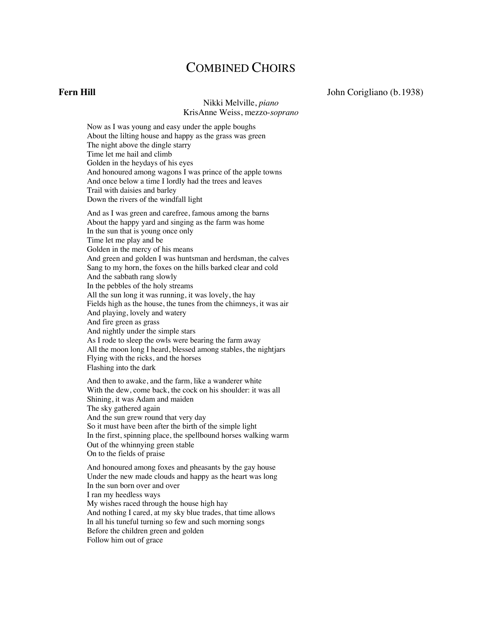# COMBINED CHOIRS

Nikki Melville, *piano* KrisAnne Weiss, mezzo-*soprano*

Now as I was young and easy under the apple boughs About the lilting house and happy as the grass was green The night above the dingle starry Time let me hail and climb Golden in the heydays of his eyes And honoured among wagons I was prince of the apple towns And once below a time I lordly had the trees and leaves Trail with daisies and barley Down the rivers of the windfall light

And as I was green and carefree, famous among the barns About the happy yard and singing as the farm was home In the sun that is young once only Time lеt me play and be Golden in thе mercy of his means And green and golden I was huntsman and herdsman, the calves Sang to my horn, the foxes on the hills barked clear and cold And the sabbath rang slowly In the pebbles of the holy streams All the sun long it was running, it was lovely, the hay Fields high as the house, the tunes from the chimneys, it was air And playing, lovely and watery And fire green as grass And nightly under the simple stars As I rode to sleep the owls were bearing the farm away All the moon long I heard, blessed among stables, the nightjars Flying with the ricks, and the horses Flashing into the dark

And then to awake, and the farm, like a wanderer white With the dew, come back, the cock on his shoulder: it was all Shining, it was Adam and maiden The sky gathered again And the sun grew round that very day So it must have been after the birth of the simple light In the first, spinning place, the spellbound horses walking warm Out of the whinnying green stable On to the fields of praise

And honoured among foxes and pheasants by the gay house Under the new made clouds and happy as the heart was long In the sun born over and over I ran my heedless ways My wishes raced through the house high hay And nothing I cared, at my sky blue trades, that time allows In all his tuneful turning so few and such morning songs Before the children green and golden Follow him out of grace

**Fern Hill** John Corigliano (b. 1938)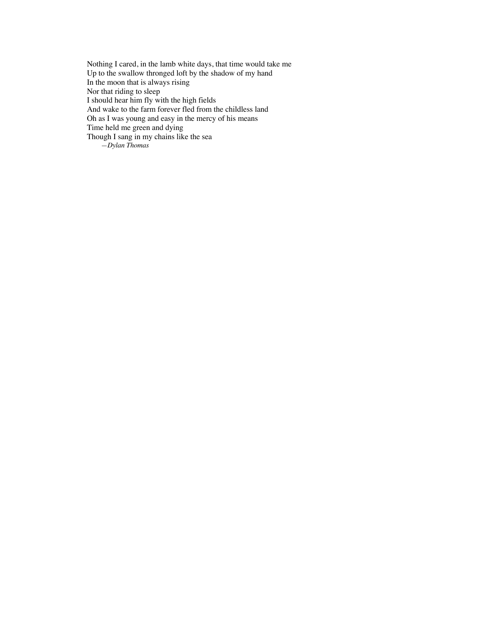Nothing I cared, in the lamb white days, that time would take me Up to the swallow thronged loft by the shadow of my hand In the moon that is always rising Nor that riding to sleep I should hear him fly with the high fields And wake to the farm forever fled from the childless land Oh as I was young and easy in the mercy of his means Time held me green and dying Though I sang in my chains like the sea *—Dylan Thomas*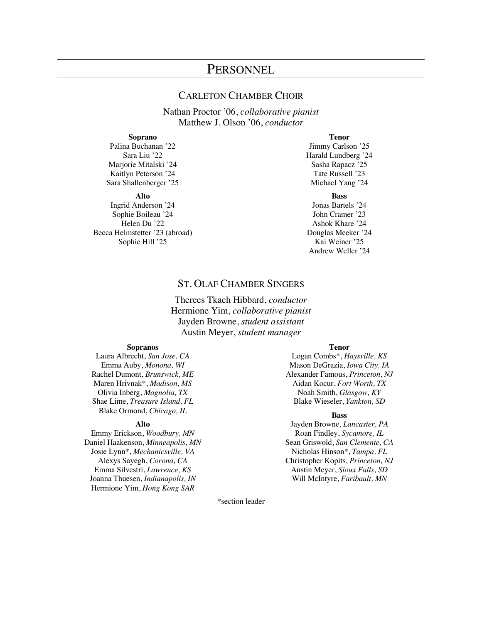# **PERSONNEL**

# CARLETON CHAMBER CHOIR

Nathan Proctor '06, *collaborative pianist* Matthew J. Olson '06, *conductor*

# **Soprano**

Palina Buchanan '22 Sara Liu '22 Marjorie Mitalski '24 Kaitlyn Peterson '24 Sara Shallenberger '25

# **Alto**

Ingrid Anderson '24 Sophie Boileau '24 Helen Du '22 Becca Helmstetter '23 (abroad) Sophie Hill '25

# **Tenor**

Jimmy Carlson '25 Harald Lundberg '24 Sasha Rapacz '25 Tate Russell '23 Michael Yang '24

# **Bass**

Jonas Bartels '24 John Cramer '23 Ashok Khare '24 Douglas Meeker '24 Kai Weiner '25 Andrew Weller '24

# ST. OLAF CHAMBER SINGERS

Therees Tkach Hibbard, *conductor* Hermione Yim, *collaborative pianist* Jayden Browne, *student assistant* Austin Meyer, *student manager*

# **Sopranos**

Laura Albrecht, *San Jose, CA* Emma Auby, *Monona, WI* Rachel Dumont, *Brunswick, ME* Maren Hrivnak\*, *Madison, MS* Olivia Inberg, *Magnolia, TX* Shae Lime, *Treasure Island, FL* Blake Ormond, *Chicago, IL*

# **Alto**

Emmy Erickson, *Woodbury, MN* Daniel Haakenson, *Minneapolis, MN* Josie Lynn\*, *Mechanicsville, VA* Alexys Sayegh, *Corona, CA* Emma Silvestri, *Lawrence, KS* Joanna Thuesen, *Indianapolis, IN* Hermione Yim, *Hong Kong SAR*

### **Tenor**

Logan Combs\*, *Haysville, KS* Mason DeGrazia, *Iowa City, IA* Alexander Famous, *Princeton, NJ* Aidan Kocur, *Fort Worth, TX* Noah Smith, *Glasgow, KY* Blake Wieseler, *Yankton, SD*

### **Bass**

Jayden Browne, *Lancaster, PA* Roan Findley, *Sycamore, IL* Sean Griswold, *San Clemente, CA* Nicholas Hinson\*, *Tampa, FL* Christopher Kopits, *Princeton, NJ* Austin Meyer, *Sioux Falls, SD* Will McIntyre, *Faribault, MN*

\*section leader